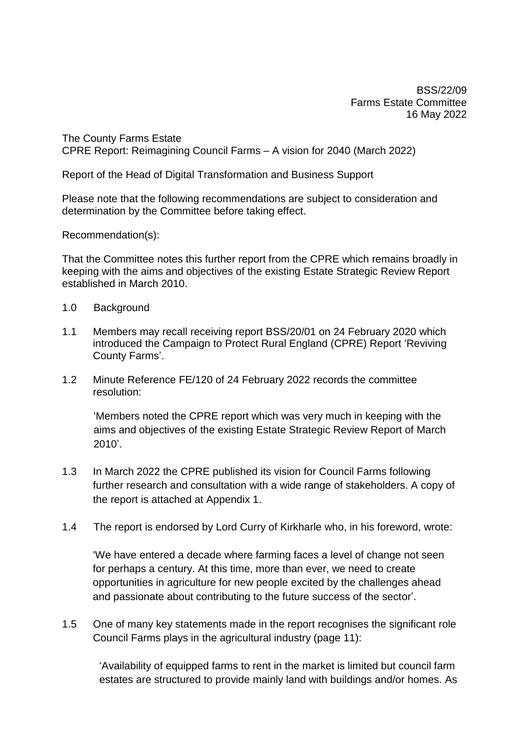BSS/22/09 Farms Estate Committee 16 May 2022

The County Farms Estate CPRE Report: Reimagining Council Farms – A vision for 2040 (March 2022)

Report of the Head of Digital Transformation and Business Support

Please note that the following recommendations are subject to consideration and determination by the Committee before taking effect.

Recommendation(s):

That the Committee notes this further report from the CPRE which remains broadly in keeping with the aims and objectives of the existing Estate Strategic Review Report established in March 2010.

- 1.0 Background
- 1.1 Members may recall receiving report BSS/20/01 on 24 February 2020 which introduced the Campaign to Protect Rural England (CPRE) Report 'Reviving County Farms'.
- 1.2 Minute Reference FE/120 of 24 February 2022 records the committee resolution:

'Members noted the CPRE report which was very much in keeping with the aims and objectives of the existing Estate Strategic Review Report of March 2010'.

- 1.3 In March 2022 the CPRE published its vision for Council Farms following further research and consultation with a wide range of stakeholders. A copy of the report is attached at Appendix 1.
- 1.4 The report is endorsed by Lord Curry of Kirkharle who, in his foreword, wrote:

'We have entered a decade where farming faces a level of change not seen for perhaps a century. At this time, more than ever, we need to create opportunities in agriculture for new people excited by the challenges ahead and passionate about contributing to the future success of the sector'.

1.5 One of many key statements made in the report recognises the significant role Council Farms plays in the agricultural industry (page 11):

'Availability of equipped farms to rent in the market is limited but council farm estates are structured to provide mainly land with buildings and/or homes. As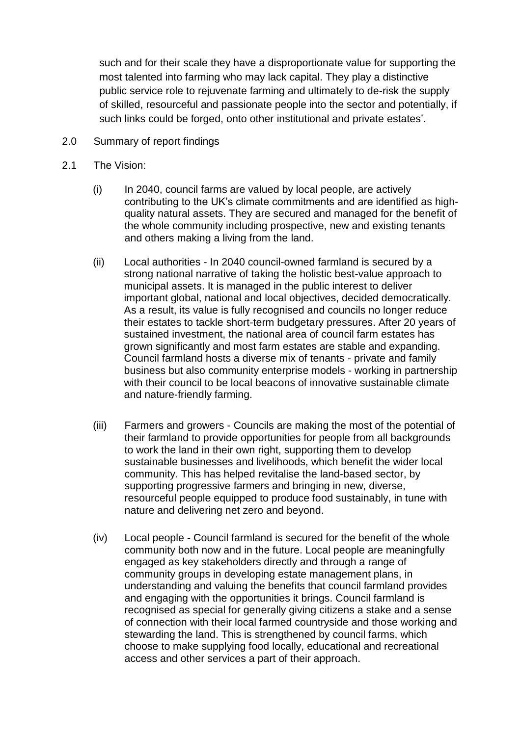such and for their scale they have a disproportionate value for supporting the most talented into farming who may lack capital. They play a distinctive public service role to rejuvenate farming and ultimately to de-risk the supply of skilled, resourceful and passionate people into the sector and potentially, if such links could be forged, onto other institutional and private estates'.

- 2.0 Summary of report findings
- 2.1 The Vision:
	- (i) In 2040, council farms are valued by local people, are actively contributing to the UK's climate commitments and are identified as highquality natural assets. They are secured and managed for the benefit of the whole community including prospective, new and existing tenants and others making a living from the land.
	- (ii) Local authorities In 2040 council-owned farmland is secured by a strong national narrative of taking the holistic best-value approach to municipal assets. It is managed in the public interest to deliver important global, national and local objectives, decided democratically. As a result, its value is fully recognised and councils no longer reduce their estates to tackle short-term budgetary pressures. After 20 years of sustained investment, the national area of council farm estates has grown significantly and most farm estates are stable and expanding. Council farmland hosts a diverse mix of tenants - private and family business but also community enterprise models - working in partnership with their council to be local beacons of innovative sustainable climate and nature-friendly farming.
	- (iii) Farmers and growers Councils are making the most of the potential of their farmland to provide opportunities for people from all backgrounds to work the land in their own right, supporting them to develop sustainable businesses and livelihoods, which benefit the wider local community. This has helped revitalise the land-based sector, by supporting progressive farmers and bringing in new, diverse, resourceful people equipped to produce food sustainably, in tune with nature and delivering net zero and beyond.
	- (iv) Local people **-** Council farmland is secured for the benefit of the whole community both now and in the future. Local people are meaningfully engaged as key stakeholders directly and through a range of community groups in developing estate management plans, in understanding and valuing the benefits that council farmland provides and engaging with the opportunities it brings. Council farmland is recognised as special for generally giving citizens a stake and a sense of connection with their local farmed countryside and those working and stewarding the land. This is strengthened by council farms, which choose to make supplying food locally, educational and recreational access and other services a part of their approach.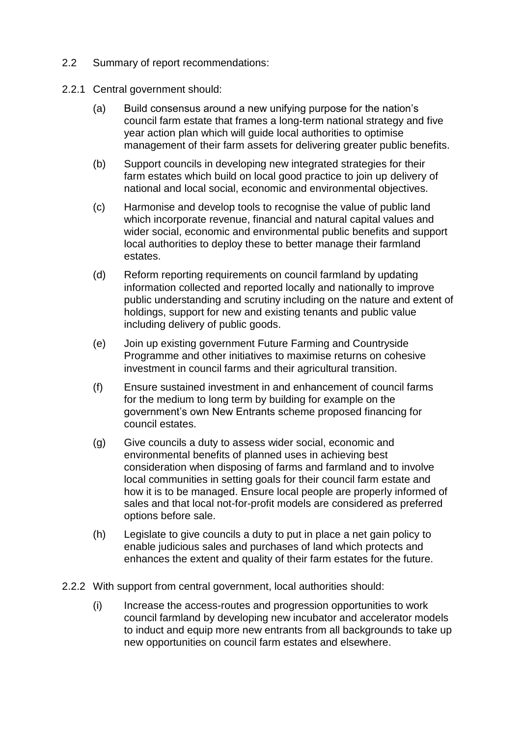- 2.2 Summary of report recommendations:
- 2.2.1 Central government should:
	- (a) Build consensus around a new unifying purpose for the nation's council farm estate that frames a long-term national strategy and five year action plan which will guide local authorities to optimise management of their farm assets for delivering greater public benefits.
	- (b) Support councils in developing new integrated strategies for their farm estates which build on local good practice to join up delivery of national and local social, economic and environmental objectives.
	- (c) Harmonise and develop tools to recognise the value of public land which incorporate revenue, financial and natural capital values and wider social, economic and environmental public benefits and support local authorities to deploy these to better manage their farmland estates.
	- (d) Reform reporting requirements on council farmland by updating information collected and reported locally and nationally to improve public understanding and scrutiny including on the nature and extent of holdings, support for new and existing tenants and public value including delivery of public goods.
	- (e) Join up existing government Future Farming and Countryside Programme and other initiatives to maximise returns on cohesive investment in council farms and their agricultural transition.
	- (f) Ensure sustained investment in and enhancement of council farms for the medium to long term by building for example on the government's own New Entrants scheme proposed financing for council estates.
	- (g) Give councils a duty to assess wider social, economic and environmental benefits of planned uses in achieving best consideration when disposing of farms and farmland and to involve local communities in setting goals for their council farm estate and how it is to be managed. Ensure local people are properly informed of sales and that local not-for-profit models are considered as preferred options before sale.
	- (h) Legislate to give councils a duty to put in place a net gain policy to enable judicious sales and purchases of land which protects and enhances the extent and quality of their farm estates for the future.
- 2.2.2 With support from central government, local authorities should:
	- (i) Increase the access-routes and progression opportunities to work council farmland by developing new incubator and accelerator models to induct and equip more new entrants from all backgrounds to take up new opportunities on council farm estates and elsewhere.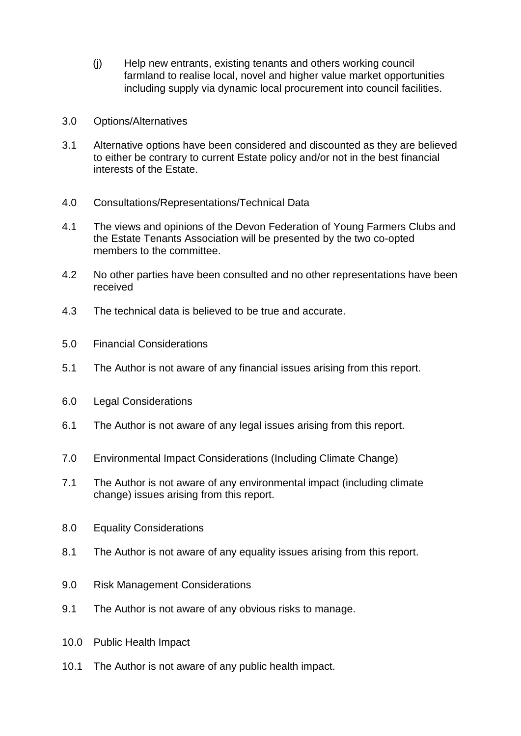- (j) Help new entrants, existing tenants and others working council farmland to realise local, novel and higher value market opportunities including supply via dynamic local procurement into council facilities.
- 3.0 Options/Alternatives
- 3.1 Alternative options have been considered and discounted as they are believed to either be contrary to current Estate policy and/or not in the best financial interests of the Estate.
- 4.0 Consultations/Representations/Technical Data
- 4.1 The views and opinions of the Devon Federation of Young Farmers Clubs and the Estate Tenants Association will be presented by the two co-opted members to the committee.
- 4.2 No other parties have been consulted and no other representations have been received
- 4.3 The technical data is believed to be true and accurate.
- 5.0 Financial Considerations
- 5.1 The Author is not aware of any financial issues arising from this report.
- 6.0 Legal Considerations
- 6.1 The Author is not aware of any legal issues arising from this report.
- 7.0 Environmental Impact Considerations (Including Climate Change)
- 7.1 The Author is not aware of any environmental impact (including climate change) issues arising from this report.
- 8.0 Equality Considerations
- 8.1 The Author is not aware of any equality issues arising from this report.
- 9.0 Risk Management Considerations
- 9.1 The Author is not aware of any obvious risks to manage.
- 10.0 Public Health Impact
- 10.1 The Author is not aware of any public health impact.